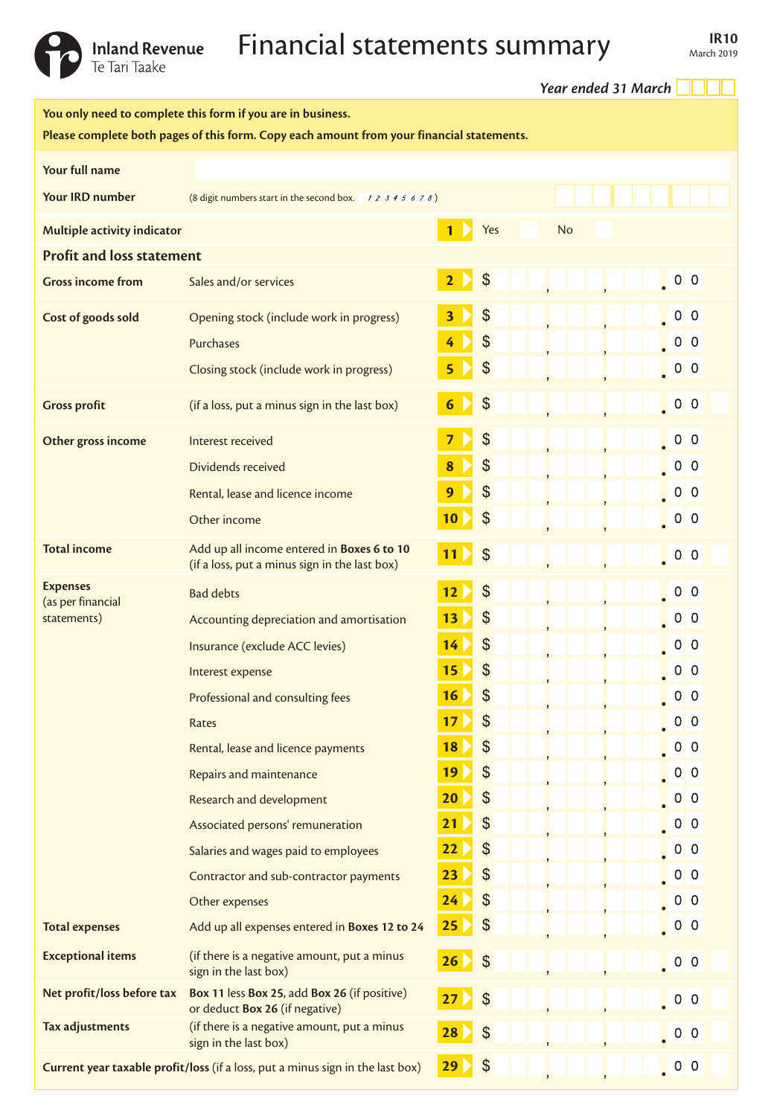

## Inland Revenue **Financial statements summary** IR10

|                                                                                                                                                          |                                                                                             |                 | Year ended 31 March        |                                                                                         |  |  |  |
|----------------------------------------------------------------------------------------------------------------------------------------------------------|---------------------------------------------------------------------------------------------|-----------------|----------------------------|-----------------------------------------------------------------------------------------|--|--|--|
| You only need to complete this form if you are in business.<br>Please complete both pages of this form. Copy each amount from your financial statements. |                                                                                             |                 |                            |                                                                                         |  |  |  |
| Your full name                                                                                                                                           |                                                                                             |                 |                            |                                                                                         |  |  |  |
| <b>Your IRD number</b>                                                                                                                                   | (8 digit numbers start in the second box. $12345678$ )                                      |                 |                            |                                                                                         |  |  |  |
| Yes<br><b>No</b><br>Multiple activity indicator<br>1                                                                                                     |                                                                                             |                 |                            |                                                                                         |  |  |  |
| <b>Profit and loss statement</b>                                                                                                                         |                                                                                             |                 |                            |                                                                                         |  |  |  |
| <b>Gross income from</b>                                                                                                                                 | Sales and/or services                                                                       | $\overline{2}$  | $\frac{1}{2}$              | $\begin{array}{ c c c c c }\n\hline\n\hline\n\hline\n\end{array}$ 0 0                   |  |  |  |
| Cost of goods sold                                                                                                                                       | Opening stock (include work in progress)                                                    | 3               | \$                         | $\begin{bmatrix} 0 & 0 \\ 0 & 0 \end{bmatrix}$                                          |  |  |  |
|                                                                                                                                                          | Purchases                                                                                   | 4               | $\frac{1}{2}$              | 0 <sub>0</sub>                                                                          |  |  |  |
|                                                                                                                                                          | Closing stock (include work in progress)                                                    | 5               | $\frac{1}{2}$              | $\begin{bmatrix} 0 & 0 \\ 0 & 0 \end{bmatrix}$                                          |  |  |  |
| <b>Gross profit</b>                                                                                                                                      | (if a loss, put a minus sign in the last box)                                               | $6\phantom{1}6$ | $\frac{1}{2}$              | 0 <sub>0</sub>                                                                          |  |  |  |
| Other gross income                                                                                                                                       | Interest received                                                                           | 7               | $\mathfrak{S}$             | 0 <sub>0</sub>                                                                          |  |  |  |
|                                                                                                                                                          | Dividends received                                                                          | 8               | \$                         | 0 <sub>0</sub>                                                                          |  |  |  |
|                                                                                                                                                          | Rental, lease and licence income                                                            | 9               | $\mathcal{L}$              | 0 <sub>0</sub>                                                                          |  |  |  |
|                                                                                                                                                          | Other income                                                                                | 10              | $\frac{1}{2}$              | $\begin{array}{ c c } \hline \hline \hline \hline \hline \hline \hline \end{array}$ 0 0 |  |  |  |
| <b>Total income</b>                                                                                                                                      | Add up all income entered in Boxes 6 to 10<br>(if a loss, put a minus sign in the last box) | 11 <sup>2</sup> | $\mathcal{S}$              | 0 <sub>0</sub>                                                                          |  |  |  |
| <b>Expenses</b><br>(as per financial<br>statements)                                                                                                      | <b>Bad debts</b>                                                                            | 12              | $\boldsymbol{\mathcal{S}}$ | 0 <sub>0</sub>                                                                          |  |  |  |
|                                                                                                                                                          | Accounting depreciation and amortisation                                                    | 13              | \$                         | $\begin{array}{ c c c c c }\hline \textbf{0} & \textbf{0} & \textbf{0} \end{array}$     |  |  |  |
|                                                                                                                                                          | Insurance (exclude ACC levies)                                                              | 14              | $\boldsymbol{\mathcal{S}}$ | 0 <sub>0</sub>                                                                          |  |  |  |
|                                                                                                                                                          | Interest expense                                                                            | 15              | \$                         | 0 <sub>0</sub>                                                                          |  |  |  |
|                                                                                                                                                          | Professional and consulting fees                                                            | 16              | \$                         | 0 <sub>0</sub>                                                                          |  |  |  |
|                                                                                                                                                          | Rates                                                                                       | 17              | $\frac{1}{2}$              | 0 <sub>0</sub>                                                                          |  |  |  |
|                                                                                                                                                          | Rental, lease and licence payments                                                          | 18              | $\frac{1}{2}$              | 0 <sub>0</sub>                                                                          |  |  |  |
|                                                                                                                                                          | Repairs and maintenance                                                                     | 19              | $\frac{1}{2}$              | 0 <sub>0</sub>                                                                          |  |  |  |
|                                                                                                                                                          | Research and development                                                                    | 20              | $\$\$                      | 0 <sup>0</sup>                                                                          |  |  |  |
|                                                                                                                                                          | Associated persons' remuneration                                                            | 21              | $\frac{1}{2}$              | 0 <sup>0</sup>                                                                          |  |  |  |
|                                                                                                                                                          | Salaries and wages paid to employees                                                        | 22              | $\frac{1}{2}$              | 0 <sup>0</sup>                                                                          |  |  |  |
|                                                                                                                                                          | Contractor and sub-contractor payments                                                      | 23              | \$                         | 0 <sub>0</sub>                                                                          |  |  |  |
|                                                                                                                                                          | Other expenses                                                                              | 24              | $\frac{1}{2}$              | 0 <sub>0</sub>                                                                          |  |  |  |
| <b>Total expenses</b>                                                                                                                                    | Add up all expenses entered in Boxes 12 to 24                                               | 25              | $\frac{1}{2}$              | $0\vert 0$                                                                              |  |  |  |
| <b>Exceptional items</b>                                                                                                                                 | (if there is a negative amount, put a minus<br>sign in the last box)                        | 26              | $\frac{1}{2}$              | 0 <sub>0</sub>                                                                          |  |  |  |
| Net profit/loss before tax                                                                                                                               | Box 11 less Box 25, add Box 26 (if positive)<br>or deduct Box 26 (if negative)              | 27              | $\frac{1}{2}$              | $\begin{bmatrix} 0 & 0 \\ 0 & 0 \end{bmatrix}$                                          |  |  |  |
| Tax adjustments                                                                                                                                          | (if there is a negative amount, put a minus<br>sign in the last box)                        | 28              | $\boldsymbol{\mathsf{\$}}$ | 0 <sub>0</sub>                                                                          |  |  |  |
| Current year taxable profit/loss (if a loss, put a minus sign in the last box)                                                                           |                                                                                             | 29              | $\frac{1}{2}$              | 0 <sup>0</sup>                                                                          |  |  |  |